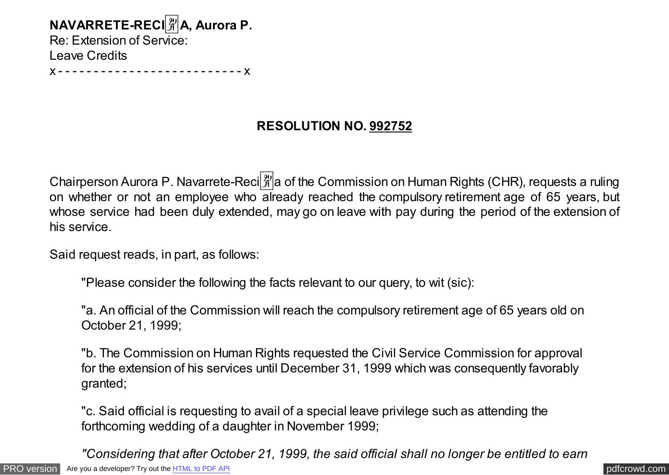**NAVARRETE-RECI**�**A, Aurora P.** Re: Extension of Service: Leave Credits

x - - - - - - - - - - - - - - - - - - - - - - - - - - x

## **RESOLUTION NO. 992752**

Chairperson Aurora P. Navarrete-Reci $\frac{2}{3}$  a of the Commission on Human Rights (CHR), requests a ruling on whether or not an employee who already reached the compulsory retirement age of 65 years, but whose service had been duly extended, may go on leave with pay during the period of the extension of his service.

Said request reads, in part, as follows:

"Please consider the following the facts relevant to our query, to wit (sic):

"a. An official of the Commission will reach the compulsory retirement age of 65 years old on October 21, 1999;

"b. The Commission on Human Rights requested the Civil Service Commission for approval for the extension of his services until December 31, 1999 which was consequently favorably granted;

"c. Said official is requesting to avail of a special leave privilege such as attending the forthcoming wedding of a daughter in November 1999;

[PRO version](http://pdfcrowd.com/customize/) Are you a developer? Try out th[e HTML to PDF API](http://pdfcrowd.com/html-to-pdf-api/?ref=pdf) performance of the example of the HTML to PDF API [pdfcrowd.com](http://pdfcrowd.com) *"Considering that after October 21, 1999, the said official shall no longer be entitled to earn*

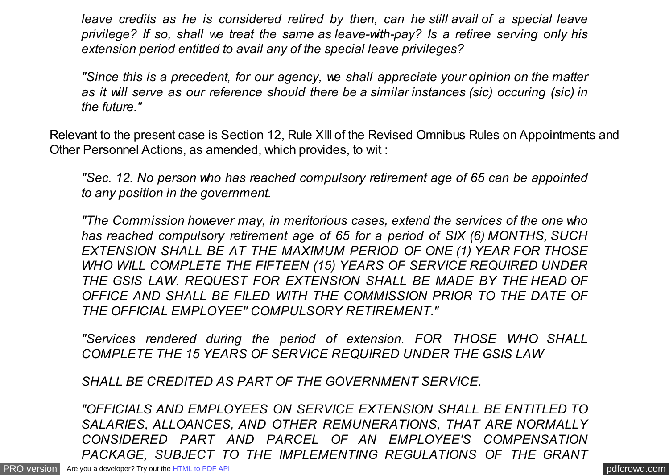*leave credits as he is considered retired by then, can he still avail of a special leave privilege? If so, shall we treat the same as leave-with-pay? Is a retiree serving only his extension period entitled to avail any of the special leave privileges?*

*"Since this is a precedent, for our agency, we shall appreciate your opinion on the matter as it will serve as our reference should there be a similar instances (sic) occuring (sic) in the future."*

Relevant to the present case is Section 12, Rule XIII of the Revised Omnibus Rules on Appointments and Other Personnel Actions, as amended, which provides, to wit :

*"Sec. 12. No person who has reached compulsory retirement age of 65 can be appointed to any position in the government.*

*"The Commission however may, in meritorious cases, extend the services of the one who has reached compulsory retirement age of 65 for a period of SIX (6) MONTHS, SUCH EXTENSION SHALL BE AT THE MAXIMUM PERIOD OF ONE (1) YEAR FOR THOSE WHO WILL COMPLETE THE FIFTEEN (15) YEARS OF SERVICE REQUIRED UNDER THE GSIS LAW. REQUEST FOR EXTENSION SHALL BE MADE BY THE HEAD OF OFFICE AND SHALL BE FILED WITH THE COMMISSION PRIOR TO THE DATE OF THE OFFICIAL EMPLOYEE'' COMPULSORY RETIREMENT."*

*"Services rendered during the period of extension. FOR THOSE WHO SHALL COMPLETE THE 15 YEARS OF SERVICE REQUIRED UNDER THE GSIS LAW*

*SHALL BE CREDITED AS PART OF THE GOVERNMENT SERVICE.*

*"OFFICIALS AND EMPLOYEES ON SERVICE EXTENSION SHALL BE ENTITLED TO SALARIES, ALLOANCES, AND OTHER REMUNERATIONS, THAT ARE NORMALLY CONSIDERED PART AND PARCEL OF AN EMPLOYEE'S COMPENSATION PACKAGE, SUBJECT TO THE IMPLEMENTING REGULATIONS OF THE GRANT*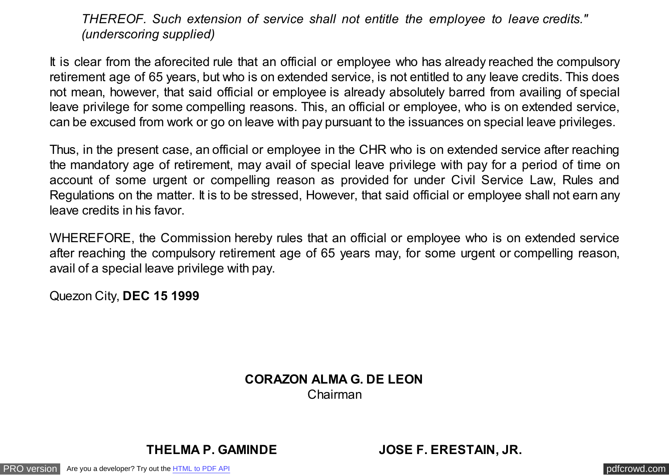*THEREOF. Such extension of service shall not entitle the employee to leave credits." (underscoring supplied)*

It is clear from the aforecited rule that an official or employee who has already reached the compulsory retirement age of 65 years, but who is on extended service, is not entitled to any leave credits. This does not mean, however, that said official or employee is already absolutely barred from availing of special leave privilege for some compelling reasons. This, an official or employee, who is on extended service, can be excused from work or go on leave with pay pursuant to the issuances on special leave privileges.

Thus, in the present case, an official or employee in the CHR who is on extended service after reaching the mandatory age of retirement, may avail of special leave privilege with pay for a period of time on account of some urgent or compelling reason as provided for under Civil Service Law, Rules and Regulations on the matter. It is to be stressed, However, that said official or employee shall not earn any leave credits in his favor.

WHEREFORE, the Commission hereby rules that an official or employee who is on extended service after reaching the compulsory retirement age of 65 years may, for some urgent or compelling reason, avail of a special leave privilege with pay.

Quezon City, **DEC 15 1999**

## **CORAZON ALMA G. DE LEON** Chairman

**THELMA P. GAMINDE JOSE F. ERESTAIN, JR.**

[PRO version](http://pdfcrowd.com/customize/) Are you a developer? Try out the **HTML to PDF API [pdfcrowd.com](http://pdfcrowd.com)** pdfcrowd.com